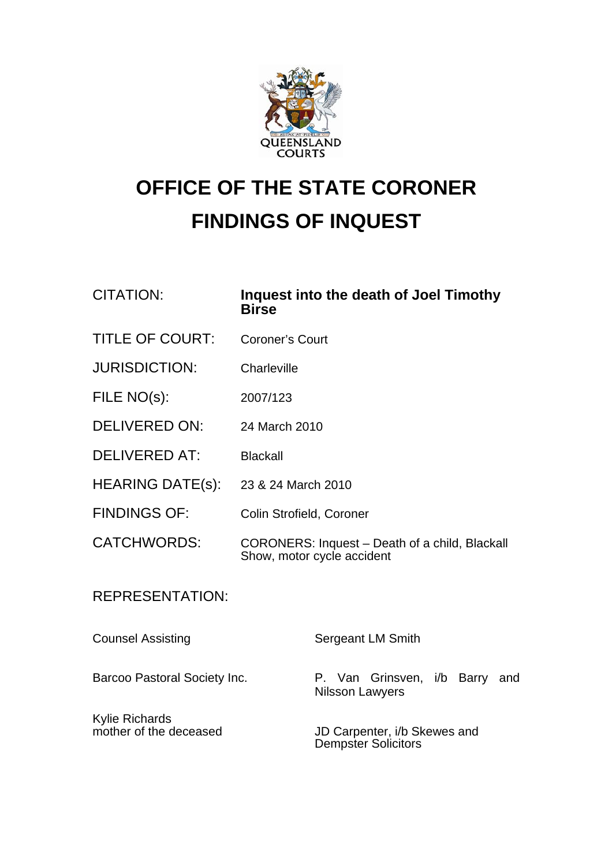

## **OFFICE OF THE STATE CORONER FINDINGS OF INQUEST**

CITATION: **Inquest into the death of Joel Timothy Birse**  TITLE OF COURT: Coroner's Court JURISDICTION: Charleville FILE NO(s): 2007/123 DELIVERED ON: 24 March 2010 DELIVERED AT: Blackall HEARING DATE(s): 23 & 24 March 2010 FINDINGS OF: Colin Strofield, Coroner CATCHWORDS: CORONERS: Inquest – Death of a child, Blackall Show, motor cycle accident REPRESENTATION: Counsel Assisting Sergeant LM Smith Barcoo Pastoral Society Inc. **P. Van Grinsven, i/b Barry and** Nilsson Lawyers Kylie Richards<br>mother of the deceased

JD Carpenter, i/b Skewes and Dempster Solicitors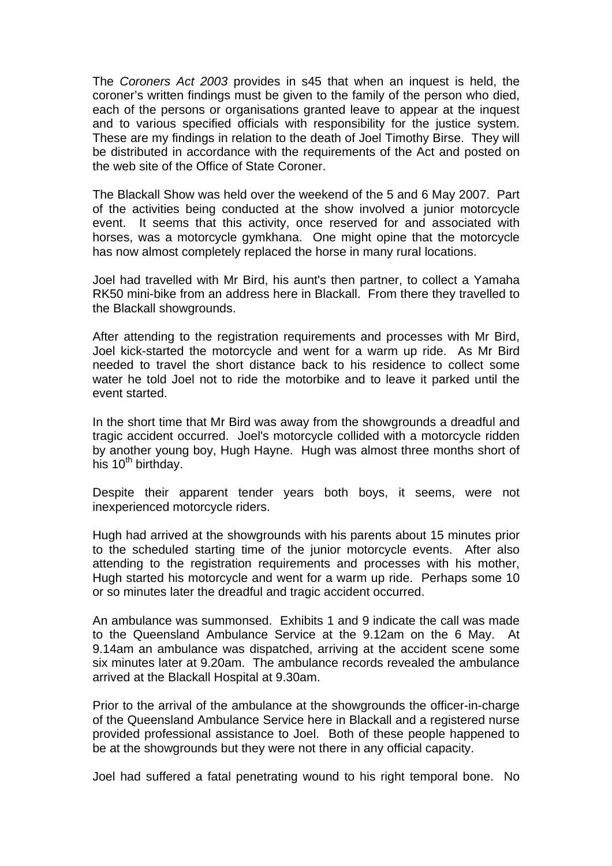The *Coroners Act 2003* provides in s45 that when an inquest is held, the coroner's written findings must be given to the family of the person who died, each of the persons or organisations granted leave to appear at the inquest and to various specified officials with responsibility for the justice system. These are my findings in relation to the death of Joel Timothy Birse. They will be distributed in accordance with the requirements of the Act and posted on the web site of the Office of State Coroner.

The Blackall Show was held over the weekend of the 5 and 6 May 2007. Part of the activities being conducted at the show involved a junior motorcycle event. It seems that this activity, once reserved for and associated with horses, was a motorcycle gymkhana. One might opine that the motorcycle has now almost completely replaced the horse in many rural locations.

Joel had travelled with Mr Bird, his aunt's then partner, to collect a Yamaha RK50 mini-bike from an address here in Blackall. From there they travelled to the Blackall showgrounds.

After attending to the registration requirements and processes with Mr Bird, Joel kick-started the motorcycle and went for a warm up ride. As Mr Bird needed to travel the short distance back to his residence to collect some water he told Joel not to ride the motorbike and to leave it parked until the event started.

In the short time that Mr Bird was away from the showgrounds a dreadful and tragic accident occurred. Joel's motorcycle collided with a motorcycle ridden by another young boy, Hugh Hayne. Hugh was almost three months short of his  $10^{th}$  birthday.

Despite their apparent tender years both boys, it seems, were not inexperienced motorcycle riders.

Hugh had arrived at the showgrounds with his parents about 15 minutes prior to the scheduled starting time of the junior motorcycle events. After also attending to the registration requirements and processes with his mother, Hugh started his motorcycle and went for a warm up ride. Perhaps some 10 or so minutes later the dreadful and tragic accident occurred.

An ambulance was summonsed. Exhibits 1 and 9 indicate the call was made to the Queensland Ambulance Service at the 9.12am on the 6 May. At 9.14am an ambulance was dispatched, arriving at the accident scene some six minutes later at 9.20am. The ambulance records revealed the ambulance arrived at the Blackall Hospital at 9.30am.

Prior to the arrival of the ambulance at the showgrounds the officer-in-charge of the Queensland Ambulance Service here in Blackall and a registered nurse provided professional assistance to Joel. Both of these people happened to be at the showgrounds but they were not there in any official capacity.

Joel had suffered a fatal penetrating wound to his right temporal bone. No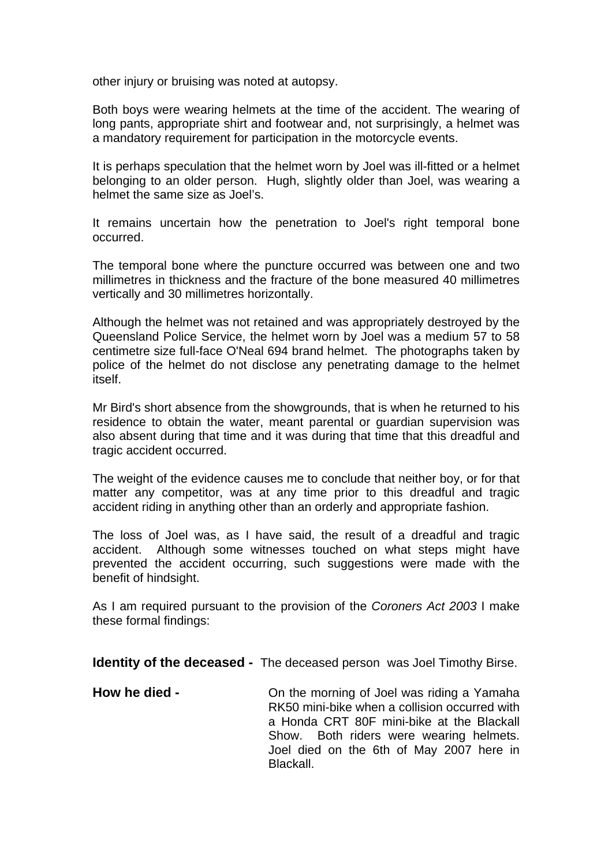other injury or bruising was noted at autopsy.

Both boys were wearing helmets at the time of the accident. The wearing of long pants, appropriate shirt and footwear and, not surprisingly, a helmet was a mandatory requirement for participation in the motorcycle events.

It is perhaps speculation that the helmet worn by Joel was ill-fitted or a helmet belonging to an older person. Hugh, slightly older than Joel, was wearing a helmet the same size as Joel's.

It remains uncertain how the penetration to Joel's right temporal bone occurred.

The temporal bone where the puncture occurred was between one and two millimetres in thickness and the fracture of the bone measured 40 millimetres vertically and 30 millimetres horizontally.

Although the helmet was not retained and was appropriately destroyed by the Queensland Police Service, the helmet worn by Joel was a medium 57 to 58 centimetre size full-face O'Neal 694 brand helmet. The photographs taken by police of the helmet do not disclose any penetrating damage to the helmet itself.

Mr Bird's short absence from the showgrounds, that is when he returned to his residence to obtain the water, meant parental or guardian supervision was also absent during that time and it was during that time that this dreadful and tragic accident occurred.

The weight of the evidence causes me to conclude that neither boy, or for that matter any competitor, was at any time prior to this dreadful and tragic accident riding in anything other than an orderly and appropriate fashion.

The loss of Joel was, as I have said, the result of a dreadful and tragic accident. Although some witnesses touched on what steps might have prevented the accident occurring, such suggestions were made with the benefit of hindsight.

As I am required pursuant to the provision of the *Coroners Act 2003* I make these formal findings:

**Identity of the deceased -** The deceased person was Joel Timothy Birse.

**How he died - On the morning of Joel was riding a Yamaha** RK50 mini-bike when a collision occurred with a Honda CRT 80F mini-bike at the Blackall Show. Both riders were wearing helmets. Joel died on the 6th of May 2007 here in **Blackall**